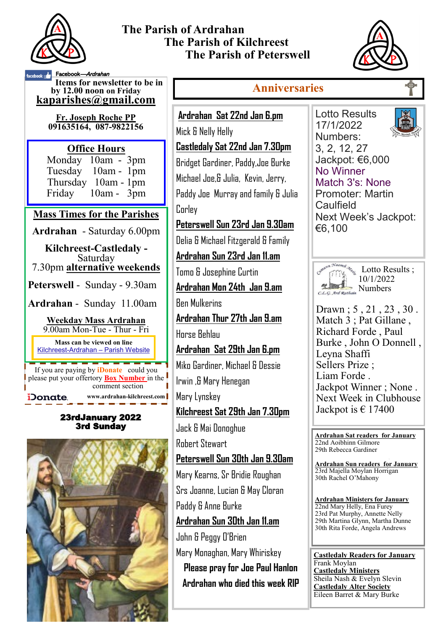

## **The Parish of Ardrahan The Parish of Kilchreest The Parish of Peterswell**



ebook **Facebook**—*Ardrahan* **Items for newsletter to be in Anniversaries by 12.00 noon on Friday [kaparishes@gmail.com](mailto:kaparish@gmail.com)** Lotto Results **Ardrahan Sat 22nd Jan 6.pm Fr. Joseph Roche PP**  17/1/2022 **091635164, 087-9822156**  Mick & Nelly Helly Numbers: **Castledaly Sat 22nd Jan 7.30pm** 3, 2, 12, 27 **Office Hours**  Monday 10am - 3pm Jackpot: €6,000 Bridget Gardiner, Paddy,Joe Burke Tuesday 10am - 1pm No Winner Michael Joe,& Julia, Kevin, Jerry, Thursday 10am - 1pm Match 3's: None Friday 10am - 3pm Paddy Joe Murray and family & Julia Promoter: Martin **Caulfield** Corley **Mass Times for the Parishes** Next Week's Jackpot: **Peterswell Sun 23rd Jan 9.30am** €6,100 **Ardrahan** - Saturday 6.00pm Delia & Michael Fitzgerald & Family **Kilchreest-Castledaly - Ardrahan Sun 23rd Jan 11.am** Saturday 7.30pm **alternative weekends**  $\frac{L_{\text{1}}}{L_{\text{2}}}\sum_{i=1}^{L_{\text{2}}}\text{Lotto Results}$ Tomo & Josephine Curtin 10/1/2022 **Peterswell** - Sunday - 9.30am Rumbers **Ardrahan Mon 24th Jan 9.am** Ben Mulkerins **Ardrahan** - Sunday 11.00am Drawn ; 5 , 21 , 23 , 30 . **Ardrahan Thur 27th Jan 9.am** Match 3 : Pat Gillane, **Weekday Mass Ardrahan**  9.00am Mon-Tue - Thur - Fri Richard Forde , Paul Horse Behlau Burke , John O Donnell , **Mass can be viewed on line Ardrahan Sat 29th Jan 6.pm** Kilchreest-Ardrahan – Parish Website Leyna Shaffi Miko Gardiner, Michael & Dessie Sellers Prize ; If you are paying by **iDonate** could you Liam Forde . please put your offertory **Box Number** in the Irwin ,& Mary Henegan Jackpot Winner ; None . comment section **www.ardrahan-kilchreest.com** Mary Lynskey **iDonate** Next Week in Clubhouse Jackpot is  $\in$  17400 **Kilchreest Sat 29th Jan 7.30pm** 23rdJanuary 2022 3rd Sunday Jack & Mai Donoghue **Ardrahan Sat readers for January**  Robert Stewart 22nd Aoibhinn Gilmore 29th Rebecca Gardiner **Peterswell Sun 30th Jan 9.30am Ardrahan Sun readers for January**  23rd Majella Moylan Horrigan Mary Kearns, Sr Bridie Roughan 30th Rachel O'Mahony Srs Joanne, Lucian & May Cloran **Ardrahan Ministers for January** Paddy & Anne Burke 22nd Mary Helly, Ena Furey 23rd Pat Murphy, Annette Nelly **Ardrahan Sun 30th Jan 11.am** 29th Martina Glynn, Martha Dunne 30th Rita Forde, Angela Andrews John & Peggy O'Brien Mary Monaghan, Mary Whiriskey **Castledaly Readers for January** Frank Moylan **Please pray for Joe Paul Hanlon Castledaly Ministers** Sheila Nash & Evelyn Slevin **Ardrahan who died this week RIP Castledaly Alter Society** Eileen Barret & Mary Burke